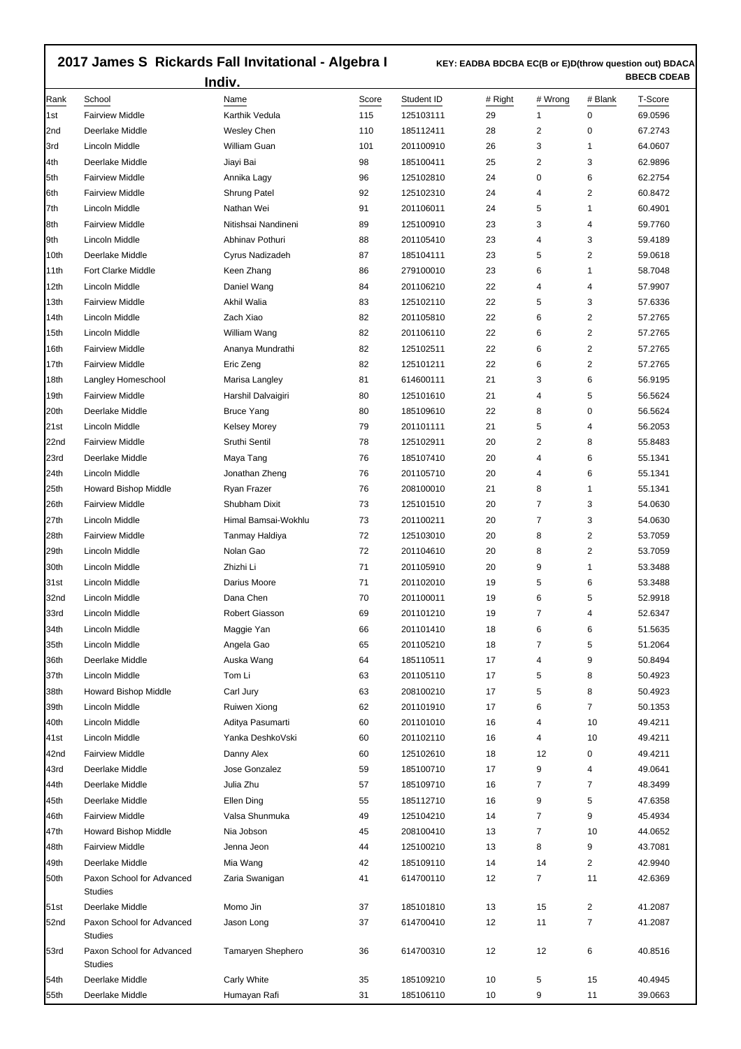## **2017 James S Rickards Fall Invitational - Algebra I**

 **KEY: EADBA BDCBA EC(B or E)D(throw question out) BDACA BBECB CDEAB** 

|                  |                                             | Indiv.                 |              |                         |               |                |              | DDEVD VUEAD        |
|------------------|---------------------------------------------|------------------------|--------------|-------------------------|---------------|----------------|--------------|--------------------|
| Rank<br>1st      | School<br><b>Fairview Middle</b>            | Name<br>Karthik Vedula | Score<br>115 | Student ID<br>125103111 | # Right<br>29 | # Wrong<br>1   | # Blank<br>0 | T-Score<br>69.0596 |
| 2nd              | Deerlake Middle                             | <b>Wesley Chen</b>     | 110          | 185112411               | 28            | 2              | 0            | 67.2743            |
| 3rd              | Lincoln Middle                              | William Guan           | 101          | 201100910               | 26            | 3              | 1            | 64.0607            |
| l4th             | Deerlake Middle                             | Jiayi Bai              | 98           | 185100411               | 25            | 2              | 3            | 62.9896            |
| 5th              | <b>Fairview Middle</b>                      | Annika Lagy            | 96           | 125102810               | 24            | 0              | 6            | 62.2754            |
| 6th              | <b>Fairview Middle</b>                      | Shrung Patel           | 92           | 125102310               | 24            | 4              | 2            | 60.8472            |
| 7th              | Lincoln Middle                              | Nathan Wei             | 91           | 201106011               | 24            | 5              | 1            | 60.4901            |
| 8th              | <b>Fairview Middle</b>                      | Nitishsai Nandineni    | 89           | 125100910               | 23            | 3              | 4            | 59.7760            |
| 9th              | Lincoln Middle                              | Abhinav Pothuri        | 88           | 201105410               | 23            | 4              | 3            | 59.4189            |
| 10th             | Deerlake Middle                             | Cyrus Nadizadeh        | 87           | 185104111               | 23            | 5              | 2            | 59.0618            |
| 11th             | <b>Fort Clarke Middle</b>                   | Keen Zhang             | 86           | 279100010               | 23            | 6              | 1            | 58.7048            |
| 12th             | Lincoln Middle                              | Daniel Wang            | 84           | 201106210               | 22            | 4              | 4            | 57.9907            |
| 13th             | <b>Fairview Middle</b>                      | Akhil Walia            | 83           | 125102110               | 22            | 5              | 3            | 57.6336            |
| 14th             | Lincoln Middle                              | Zach Xiao              | 82           | 201105810               | 22            | 6              | 2            | 57.2765            |
| 15 <sub>th</sub> | Lincoln Middle                              | William Wang           | 82           | 201106110               | 22            | 6              | 2            | 57.2765            |
| 16th             | <b>Fairview Middle</b>                      | Ananya Mundrathi       | 82           | 125102511               | 22            | 6              | 2            | 57.2765            |
| 17th             | <b>Fairview Middle</b>                      | Eric Zeng              | 82           | 125101211               | 22            | 6              | 2            | 57.2765            |
| 18th             | Langley Homeschool                          | Marisa Langley         | 81           | 614600111               | 21            | 3              | 6            | 56.9195            |
| 19th             | <b>Fairview Middle</b>                      | Harshil Dalvaigiri     | 80           | 125101610               | 21            | 4              | 5            | 56.5624            |
| 20th             | Deerlake Middle                             | <b>Bruce Yang</b>      | 80           | 185109610               | 22            | 8              | 0            | 56.5624            |
| 21st             | Lincoln Middle                              | <b>Kelsey Morey</b>    | 79           | 201101111               | 21            | 5              | 4            | 56.2053            |
| 22nd             | <b>Fairview Middle</b>                      | Sruthi Sentil          | 78           | 125102911               | 20            | 2              | 8            | 55.8483            |
| 23rd             | Deerlake Middle                             | Maya Tang              | 76           | 185107410               | 20            | 4              | 6            | 55.1341            |
| 24th             | Lincoln Middle                              | Jonathan Zheng         | 76           | 201105710               | 20            | 4              | 6            | 55.1341            |
| 25th             | Howard Bishop Middle                        | Ryan Frazer            | 76           | 208100010               | 21            | 8              | 1            | 55.1341            |
| 26th             | <b>Fairview Middle</b>                      | Shubham Dixit          | 73           | 125101510               | 20            | 7              | 3            | 54.0630            |
| 27th             | Lincoln Middle                              | Himal Bamsai-Wokhlu    | 73           | 201100211               | 20            | 7              | 3            | 54.0630            |
| 28th             | <b>Fairview Middle</b>                      | Tanmay Haldiya         | 72           | 125103010               | 20            | 8              | 2            | 53.7059            |
| 29th             | Lincoln Middle                              | Nolan Gao              | 72           | 201104610               | 20            | 8              | 2            | 53.7059            |
| 30th             | Lincoln Middle                              | Zhizhi Li              | 71           | 201105910               | 20            | 9              | 1            | 53.3488            |
| 31st             | Lincoln Middle                              | Darius Moore           | 71           | 201102010               | 19            | 5              | 6            | 53.3488            |
| 32nd             | Lincoln Middle                              | Dana Chen              | 70           | 201100011               | 19            | 6              | 5            | 52.9918            |
| 33rd             | Lincoln Middle                              | Robert Giasson         | 69           | 201101210               | 19            | 7              | 4            | 52.6347            |
| 34th             | Lincoln Middle                              | Maggie Yan             | 66           | 201101410               | 18            | 6              | 6            | 51.5635            |
| 35th             | Lincoln Middle                              | Angela Gao             | 65           | 201105210               | 18            | 7              | 5            | 51.2064            |
| 36th             | Deerlake Middle                             | Auska Wang             | 64           | 185110511               | 17            | 4              | 9            | 50.8494            |
| 37th             | Lincoln Middle                              | Tom Li                 | 63           | 201105110               | 17            | 5              | 8            | 50.4923            |
| 38th             | Howard Bishop Middle                        | Carl Jury              | 63           | 208100210               | 17            | 5              | 8            | 50.4923            |
| 39th             | Lincoln Middle                              | Ruiwen Xiong           | 62           | 201101910               | 17            | 6              | 7            | 50.1353            |
| 40th             | Lincoln Middle                              | Aditya Pasumarti       | 60           | 201101010               | 16            | 4              | 10           | 49.4211            |
| 41st             | Lincoln Middle                              | Yanka DeshkoVski       | 60           | 201102110               | 16            | 4              | 10           | 49.4211            |
| 42nd             | <b>Fairview Middle</b>                      | Danny Alex             | 60           | 125102610               | 18            | 12             | 0            | 49.4211            |
| 43rd             | Deerlake Middle                             | Jose Gonzalez          | 59           |                         | 17            | 9              | 4            | 49.0641            |
|                  | Deerlake Middle                             |                        |              | 185100710               |               |                |              |                    |
| 44th             |                                             | Julia Zhu              | 57           | 185109710               | 16            | 7              | 7            | 48.3499            |
| 45th             | Deerlake Middle                             | Ellen Ding             | 55           | 185112710               | 16            | 9              | 5            | 47.6358            |
| 46th             | <b>Fairview Middle</b>                      | Valsa Shunmuka         | 49           | 125104210               | 14            | 7              | 9            | 45.4934            |
| 47th             | Howard Bishop Middle                        | Nia Jobson             | 45           | 208100410               | 13            | $\overline{7}$ | 10           | 44.0652            |
| 48th             | <b>Fairview Middle</b>                      | Jenna Jeon             | 44           | 125100210               | 13            | 8              | 9            | 43.7081            |
| 49th             | Deerlake Middle                             | Mia Wang               | 42           | 185109110               | 14            | 14             | 2            | 42.9940            |
| 50th             | Paxon School for Advanced<br>Studies        | Zaria Swanigan         | 41           | 614700110               | 12            | 7              | 11           | 42.6369            |
| 51st             | Deerlake Middle                             | Momo Jin               | 37           | 185101810               | 13            | 15             | 2            | 41.2087            |
| 52nd             | Paxon School for Advanced<br><b>Studies</b> | Jason Long             | 37           | 614700410               | 12            | 11             | 7            | 41.2087            |
| 53rd             | Paxon School for Advanced<br><b>Studies</b> | Tamaryen Shephero      | 36           | 614700310               | 12            | 12             | 6            | 40.8516            |
| 54th             | Deerlake Middle                             | Carly White            | 35           | 185109210               | 10            | 5              | 15           | 40.4945            |
| 55th             | Deerlake Middle                             | Humayan Rafi           | 31           | 185106110               | 10            | 9              | 11           | 39.0663            |